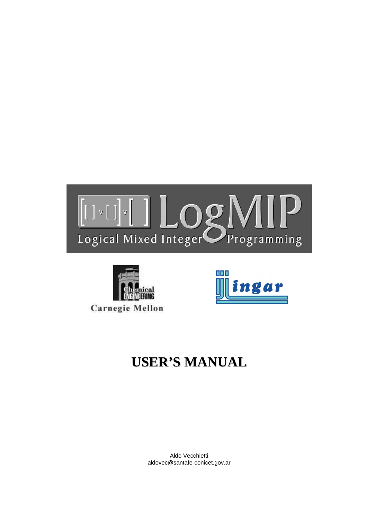





# **USER'S MANUAL**

Aldo Vecchietti aldovec@santafe-conicet.gov.ar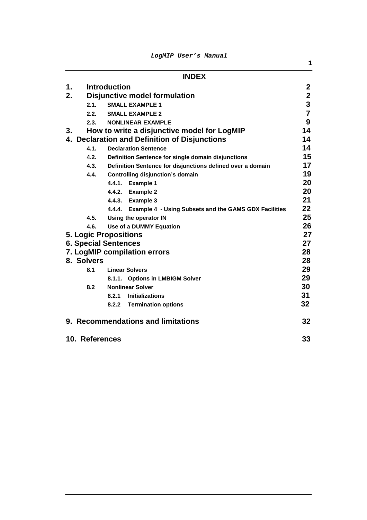**LogMIP User's Manual** 

|            | <b>INDEX</b>                                                    |                         |
|------------|-----------------------------------------------------------------|-------------------------|
| 1.         | <b>Introduction</b>                                             | $\mathbf{2}$            |
| 2.         | <b>Disjunctive model formulation</b>                            | $\mathbf{2}$            |
|            | 2.1.<br><b>SMALL EXAMPLE 1</b>                                  | $\overline{\mathbf{3}}$ |
|            | 2.2. SMALL EXAMPLE 2                                            | $\overline{7}$          |
| 2.3.       | <b>NONLINEAR EXAMPLE</b>                                        | 9                       |
| 3.         | How to write a disjunctive model for LogMIP                     | 14                      |
|            | 4. Declaration and Definition of Disjunctions                   | 14                      |
| 4.1.       | <b>Declaration Sentence</b>                                     | 14                      |
| 4.2.       | Definition Sentence for single domain disjunctions              | 15                      |
|            | 4.3. Definition Sentence for disjunctions defined over a domain | 17                      |
|            | 4.4. Controlling disjunction's domain                           | 19                      |
|            | 4.4.1. Example 1                                                | 20                      |
|            | 4.4.2. Example 2                                                | 20                      |
|            | 4.4.3. Example 3                                                | 21                      |
|            | 4.4.4. Example 4 - Using Subsets and the GAMS GDX Facilities    | 22                      |
|            | 4.5. Using the operator IN                                      | 25                      |
| 4.6.       | Use of a DUMMY Equation                                         | 26                      |
|            | <b>5. Logic Propositions</b>                                    | 27                      |
|            | <b>6. Special Sentences</b>                                     | 27                      |
|            | 7. LogMIP compilation errors                                    | 28                      |
| 8. Solvers |                                                                 | 28                      |
| 8.1        | <b>Linear Solvers</b>                                           | 29                      |
|            | 8.1.1. Options in LMBIGM Solver                                 | 29                      |
| 8.2        | <b>Nonlinear Solver</b>                                         | 30                      |
|            | 8.2.1<br>Initializations                                        | 31                      |
|            | 8.2.2 Termination options                                       | 32                      |
|            | 9. Recommendations and limitations                              | 32                      |
|            | 10. References                                                  | 33                      |

**1**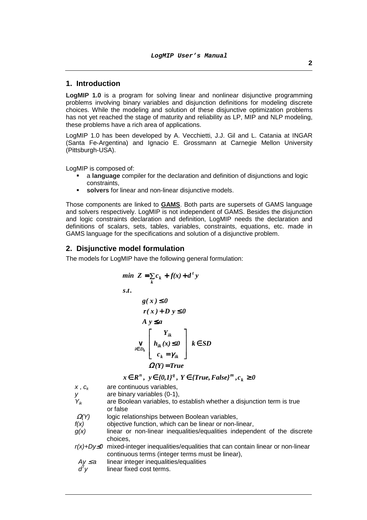# **1. Introduction**

**LogMIP 1.0** is a program for solving linear and nonlinear disjunctive programming problems involving binary variables and disjunction definitions for modeling discrete choices. While the modeling and solution of these disjunctive optimization problems has not yet reached the stage of maturity and reliability as LP, MIP and NLP modeling, these problems have a rich area of applications.

LogMIP 1.0 has been developed by A. Vecchietti, J.J. Gil and L. Catania at INGAR (Santa Fe-Argentina) and Ignacio E. Grossmann at Carnegie Mellon University (Pittsburgh-USA).

LogMIP is composed of:

- a **language** compiler for the declaration and definition of disjunctions and logic constraints,
- **solvers** for linear and non-linear disjunctive models.

Those components are linked to **GAMS**. Both parts are supersets of GAMS language and solvers respectively. LogMIP is not independent of GAMS. Besides the disjunction and logic constraints declaration and definition, LogMIP needs the declaration and definitions of scalars, sets, tables, variables, constraints, equations, etc. made in GAMS language for the specifications and solution of a disjunctive problem.

# **2. Disjunctive model formulation**

The models for LogMIP have the following general formulation:

min 
$$
Z = \sum_{k} c_{k} + f(x) + d^{t} y
$$
  
s.t.  
 $g(x) \le 0$   
 $r(x) + D y \le 0$   
 $A y \le a$   
 $\sum_{i \in D_{k}} \begin{bmatrix} Y_{ik} \\ h_{ik}(x) \le 0 \\ c_{k} = \gamma_{ik} \end{bmatrix} k \in SD$   
 $\Omega(Y) = True$ 

*x*∈  $R^n$ ,  $y \in \{0,1\}^q$ ,  $Y \in \{True, False\}^m$ ,  $c_k \ge 0$ 

- $x, c_k$  are continuous variables,
- y are binary variables (0-1),<br> $Y_{ik}$  are Boolean variables, to
- are Boolean variables, to establish whether a disjunction term is true or false
- $\Omega(Y)$  logic relationships between Boolean variables,
- $f(x)$  objective function, which can be linear or non-linear,
- $q(x)$  linear or non-linear inequalities/equalities independent of the discrete choices,

 $r(x)+Dy\leq 0$  mixed-integer inequalities/equalities that can contain linear or non-linear continuous terms (integer terms must be linear),

- $Ay \le a$  linear integer inequalities/equalities
- $d^{\bar 7}$ linear fixed cost terms.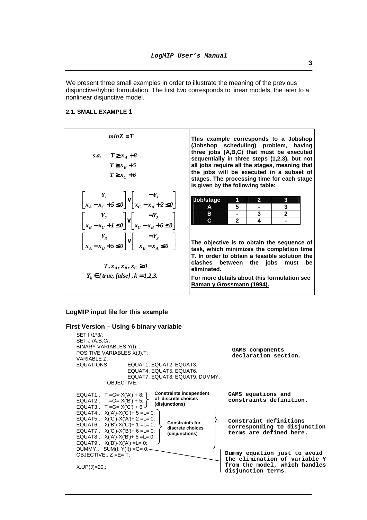We present three small examples in order to illustrate the meaning of the previous disjunctive/hybrid formulation. The first two corresponds to linear models, the later to a nonlinear disjunctive model.

# **2.1. SMALL EXAMPLE 1**

| $minZ = T$<br>s.a. $T \ge x_A + 8$<br>$T \geq x_R + 5$<br>$T \geq x_c + 6$                                                                                                                             | This example corresponds to a Jobshop<br>(Jobshop scheduling) problem, having<br>three jobs (A,B,C) that must be executed<br>sequentially in three steps (1,2,3), but not<br>all jobs require all the stages, meaning that<br>the jobs will be executed in a subset of<br>stages. The processing time for each stage<br>is given by the following table: |  |
|--------------------------------------------------------------------------------------------------------------------------------------------------------------------------------------------------------|----------------------------------------------------------------------------------------------------------------------------------------------------------------------------------------------------------------------------------------------------------------------------------------------------------------------------------------------------------|--|
| $\left  \int_{x_4-x_6+5\leq 0}^{Y_1}  v  \right _{x_6-x_4+2\leq 0}$<br>$\begin{vmatrix} Y_2 \\ x_2 - x_1 + 1 \le 0 \end{vmatrix}$ $\vee$ $\begin{vmatrix} -Y_2 \\ x_1 - x_2 + 6 \le 0 \end{vmatrix}$   | Job/stage<br>1<br>$\overline{2}$<br>3<br>5<br>$\frac{3}{2}$<br>$\begin{array}{c}\nA \\ B\n\end{array}$<br>3<br>$\mathbf{C}$<br>$\mathbf{c}$<br>4                                                                                                                                                                                                         |  |
| $\begin{bmatrix} Y_3 \\ x_4 - x_8 + 5 \leq 0 \end{bmatrix}$ $\vee$ $\begin{bmatrix} \neg Y_3 \\ x_2 - x_4 \leq 0 \end{bmatrix}$<br>$T, x_A, x_B, x_C \ge 0$<br>$Y_k \in \{true, false\}, k = 1, 2, 3.$ | The objective is to obtain the sequence of<br>task, which minimizes the completion time<br>T. In order to obtain a feasible solution the<br>clashes between the jobs<br>must<br>be<br>eliminated.<br>For more details about this formulation see<br>Raman y Grossmann (1994).                                                                            |  |

# **LogMIP input file for this example**

| First Version – Using 6 binary variable                                                                                                                                                                                                               |                                                                                                                      |
|-------------------------------------------------------------------------------------------------------------------------------------------------------------------------------------------------------------------------------------------------------|----------------------------------------------------------------------------------------------------------------------|
| SET 1/1 <sup>*</sup> 3/:<br><b>SET J/A,B,C/;</b><br>BINARY VARIABLES Y(I);<br>POSITIVE VARIABLES X(J), T;<br>VARIABLE Z:                                                                                                                              | GAMS components<br>declaration section.                                                                              |
| <b>EQUATIONS</b><br>EQUAT1, EQUAT2, EQUAT3,<br>EQUAT4, EQUAT5, EQUAT6,<br>EQUAT7, EQUAT8, EQUAT9, DUMMY,<br>OBJECTIVE:                                                                                                                                |                                                                                                                      |
| <b>Constraints independent</b><br>EQUAT1 T = G = $X('A') + 8;$<br>of discrete choices<br>EQUAT2 T = G = $X('B') + 5;$<br>(disjunctions)<br>EQUAT3 T = G = $X(C') + 6$ ;<br>EQUAT4 $X('A')-X('C')+ 5 = L = 0$                                          | GAMS equations and<br>constraints definition.                                                                        |
| EQUAT5 $X('C')-X('A')+2 = L = 0$ :<br><b>Constraints for</b><br>EQUAT6 $X('B')-X('C')+1 = L = 0$ :<br>discrete choices<br>EQUAT7 $X('C')-X('B')+6 = L = 0;$<br>(disjunctions)<br>EQUAT8 $X('A')-X('B')+5 = L = 0;$<br>EQUAT9 $X('B')-X('A') = L = 0;$ | Constraint definitions<br>corresponding to disjunction<br>terms are defined here.                                    |
| DUMMY SUM(I, $Y(1)$ ) = G = 0; $\sim$<br>OBJECTIVE $Z = E = T$ :<br>$X.UP(J)=20.$ ;                                                                                                                                                                   | Dummy equation just to avoid<br>the elimination of variable Y<br>from the model, which handles<br>disjunction terms. |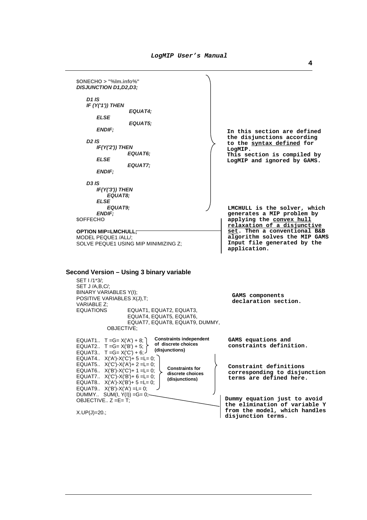| \$ONECHO > "%lm.info%"<br><b>DISJUNCTION D1, D2, D3;</b>                                                                                                                                                                                                                                                                                                                                                                                                                                                                             |                                                                                                                                                                                                                                       |
|--------------------------------------------------------------------------------------------------------------------------------------------------------------------------------------------------------------------------------------------------------------------------------------------------------------------------------------------------------------------------------------------------------------------------------------------------------------------------------------------------------------------------------------|---------------------------------------------------------------------------------------------------------------------------------------------------------------------------------------------------------------------------------------|
| <b>D1 IS</b><br>IF $(Y('1'))$ THEN<br>EQUAT4;<br><b>ELSE</b><br>EQUAT5;<br><b>ENDIF;</b><br><b>D2 IS</b><br>$IF(Y(2))$ THEN<br>EQUAT6;<br><b>ELSE</b><br><b>EQUAT7;</b><br><b>ENDIF:</b>                                                                                                                                                                                                                                                                                                                                             | In this section are defined<br>the disjunctions according<br>to the syntax defined for<br>LogMIP.<br>This section is compiled by<br>LogMIP and ignored by GAMS.                                                                       |
| <b>D3 IS</b><br>$IF(Y('3'))$ THEN<br>EQUAT8;<br><b>ELSE</b><br>EQUAT9;<br><b>ENDIF:</b><br><b>SOFFECHO</b><br>OPTION MIP=LMCHULL;<br>MODEL PEQUE1 /ALL/;<br>SOLVE PEQUE1 USING MIP MINIMIZING Z;                                                                                                                                                                                                                                                                                                                                     | LMCHULL is the solver, which<br>generates a MIP problem by<br>applying the convex hull<br>relaxation of a disjunctive<br>set. Then a conventional B&B<br>algorithm solves the MIP GAMS<br>Input file generated by the<br>application. |
| Second Version - Using 3 binary variable<br>SET I /1*3/;<br>SET J/A,B,C/;<br>BINARY VARIABLES Y(I);<br>POSITIVE VARIABLES X(J), T;<br>VARIABLE Z;<br><b>EQUATIONS</b><br>EQUAT1, EQUAT2, EQUAT3,<br>EQUAT4, EQUAT5, EQUAT6,<br>EQUAT7, EQUAT8, EQUAT9, DUMMY,<br>OBJECTIVE;                                                                                                                                                                                                                                                          | GAMS components<br>declaration section.                                                                                                                                                                                               |
| <b>Constraints independent</b><br>EQUAT1 T = G = $X('A') + 8$ ;<br>of discrete choices<br>EQUAT2 T = G = $X('B') + 5;$<br>(disjunctions)<br>EQUAT3. T = G = $X('C') + 6;$<br>EQUAT4 $X('A')-X('C')+ 5 = L = 0$ ;<br>EQUAT5 $X('C')-X('A')+2 = L = 0;$<br><b>Constraints for</b><br>EQUAT6 $X('B')-X('C')+1 = L = 0;$<br>discrete choices<br>EQUAT7 $X('C')-X('B')+6 = L = 0;$<br>(disjunctions)<br>EQUAT8 $X('A')-X('B')+5 = L = 0;$<br>EQUAT9 $X('B')-X('A') = L = 0$ ;<br>DUMMY SUM(I, Y(I)) = G = 0; —<br>OBJECTIVE $Z = E = T$ ; | GAMS equations and<br>constraints definition.<br>Constraint definitions<br>corresponding to disjunction<br>terms are defined here.<br>Dummy equation just to avoid<br>the elimination of variable Y                                   |
| $X.UP(J)=20.$ ;                                                                                                                                                                                                                                                                                                                                                                                                                                                                                                                      | from the model, which handles<br>disjunction terms.                                                                                                                                                                                   |

**4**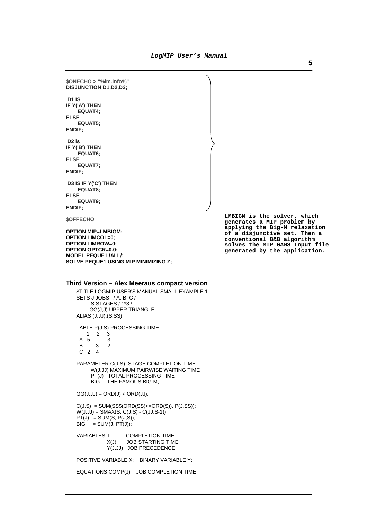**\$ONECHO > "%lm.info%" DISJUNCTION D1,D2,D3; D1 IS IF Y('A') THEN EQUAT4; ELSE EQUAT5; ENDIF; D2 is IF Y('B') THEN EQUAT6; ELSE EQUAT7; ENDIF; D3 IS IF Y('C') THEN EQUAT8; ELSE EQUAT9; ENDIF; \$OFFECHO OPTION MIP=LMBIGM; OPTION LIMCOL=0; OPTION LIMROW=0; OPTION OPTCR=0.0;** 

**LMBIGM is the solver, which generates a MIP problem by applying the Big-M relaxation of a disjunctive set. Then a conventional B&B algorithm solves the MIP GAMS Input file generated by the application.** 

#### **Third Version – Alex Meeraus compact version**

**SOLVE PEQUE1 USING MIP MINIMIZING Z;** 

**MODEL PEQUE1 /ALL/;** 

\$TITLE LOGMIP USER'S MANUAL SMALL EXAMPLE 1 SETS J JOBS / A, B, C / S STAGES / 1\*3 / GG(J,J) UPPER TRIANGLE ALIAS (J,JJ),(S,SS); TABLE P(J,S) PROCESSING TIME  $\begin{array}{ccc} 1 & 2 & 3 \\ 5 & & 3 \end{array}$ A 5 B 3 2 C 2 4 PARAMETER C(J,S) STAGE COMPLETION TIME W(J,JJ) MAXIMUM PAIRWISE WAITING TIME PT(J) TOTAL PROCESSING TIME BIG THE FAMOUS BIG M;  $GG(J,JJ) = ORD(J) < ORD(JJ);$  $C(J.S) = SUM(SSS(ORD(SS) \leq=ORD(S))$ ,  $P(J.SS))$ ;  $W(J,JJ) = SMAX(S, C(J,S) - C(JJ,S-1));$  $PT(J) = SUM(S, P(J, S));$  $BIG = SUM(J, PT(J));$ VARIABLES T COMPLETION TIME<br>X(J) JOB STARTING TIM JOB STARTING TIME Y(J,JJ) JOB PRECEDENCE POSITIVE VARIABLE X; BINARY VARIABLE Y;

EQUATIONS COMP(J) JOB COMPLETION TIME

**5**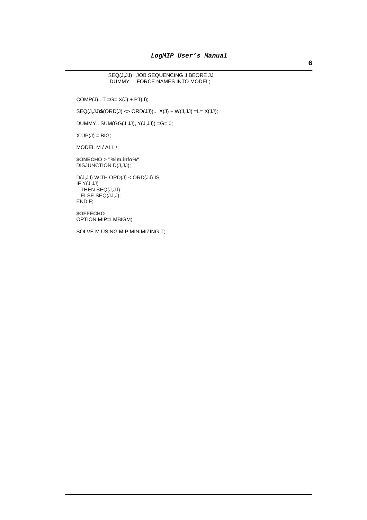SEQ(J,JJ) JOB SEQUENCING J BEORE JJ DUMMY FORCE NAMES INTO MODEL;

 $COMP(J)$ .. T = G =  $X(J)$  +  $PT(J)$ ;

 $SEQ(J,JJ)$ \$( $ORD(J) \iff ORD(JJ)$ )..  $X(J) + W(J,JJ) = L = X(JJ)$ ;

DUMMY.. SUM(GG(J,JJ), Y(J,JJ)) =G= 0;

 $X.UP(J) = BIG;$ 

MODEL M / ALL /;

**\$ONECHO > "%lm.info%"**  DISJUNCTION D(J,JJ);

D(J,JJ) WITH ORD(J) < ORD(JJ) IS IF Y(J,JJ) THEN SEQ(J,JJ); ELSE SEQ(JJ,J); ENDIF;

**\$OFFECHO**  OPTION MIP=LMBIGM;

SOLVE M USING MIP MINIMIZING T;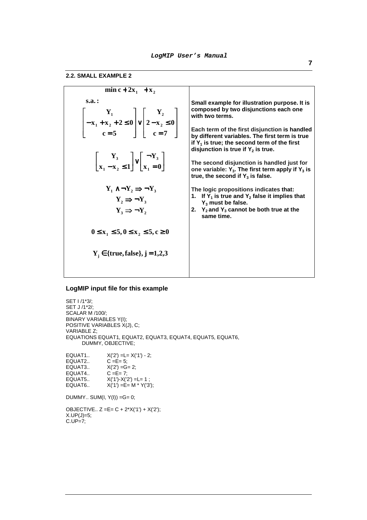#### **2.2. SMALL EXAMPLE 2**

| $\min c + 2x_1 + x_2$                                                                                                                                                                                                                                                                                                                                                                                                                                        |                                                                                                                                                                                                                                                                                                                                                                                                                                                                                                                                                                                                                                                |
|--------------------------------------------------------------------------------------------------------------------------------------------------------------------------------------------------------------------------------------------------------------------------------------------------------------------------------------------------------------------------------------------------------------------------------------------------------------|------------------------------------------------------------------------------------------------------------------------------------------------------------------------------------------------------------------------------------------------------------------------------------------------------------------------------------------------------------------------------------------------------------------------------------------------------------------------------------------------------------------------------------------------------------------------------------------------------------------------------------------------|
| s.a.:<br>$\begin{vmatrix} Y_1 \\ -x_1 + x_2 + 2 \le 0 \\ c = 5 \end{vmatrix} \vee \begin{vmatrix} Y_2 \\ 2 - x_2 \le 0 \\ c = 7 \end{vmatrix}$<br>$\begin{bmatrix} Y_3 \\ X_1 - X_2 \end{bmatrix}$ $\vee \begin{bmatrix} \neg Y_3 \\ X_2 \end{bmatrix}$<br>$Y_1 \wedge \neg Y_2 \Rightarrow \neg Y_3$<br>$Y_{2} \Rightarrow \neg Y_{3}$<br>$Y_3 \Rightarrow \neg Y_2$<br>$0 \le x_1 \le 5, 0 \le x_2 \le 5, c \ge 0$<br>$Y_i \in \{true, false\}, j = 1,2,3$ | Small example for illustration purpose. It is<br>composed by two disjunctions each one<br>with two terms.<br>Each term of the first disjunction is handled<br>by different variables. The first term is true<br>if $Y_1$ is true; the second term of the first<br>disjunction is true if $Y_2$ is true.<br>The second disjunction is handled just for<br>one variable: $Y_3$ . The first term apply if $Y_3$ is<br>true, the second if $Y_3$ is false.<br>The logic propositions indicates that:<br>1. If $Y_1$ is true and $Y_2$ false it implies that<br>$Y_3$ must be false.<br>2. $Y_2$ and $Y_3$ cannot be both true at the<br>same time. |

# **LogMIP input file for this example**

SET I /1\*3/; SET J /1\*2/; SCALAR M /100/; BINARY VARIABLES Y(I); POSITIVE VARIABLES X(J), C; VARIABLE Z; EQUATIONS EQUAT1, EQUAT2, EQUAT3, EQUAT4, EQUAT5, EQUAT6, DUMMY, OBJECTIVE; EQUAT1..  $X('2') = L = X('1') - 2;$ <br>EQUAT2..  $C = E = 5;$ = = = =<br>EQUAT2..<br>EQUAT3..  $X('2') = G = 2;$ <br>C =E= 7; EQUAT4..<br>EQUAT5.. EQUAT5..  $X('1')-X('2') = L= 1 ;$ <br>EQUAT6..  $X('1') = E = M * Y('3')$  $X('1') = E= M * Y('3');$ DUMMY.. SUM $(I, Y(I)) = G = 0$ ; OBJECTIVE.. Z =E= C + 2\*X('1') + X('2'); X.UP(J)=5; C.UP=7;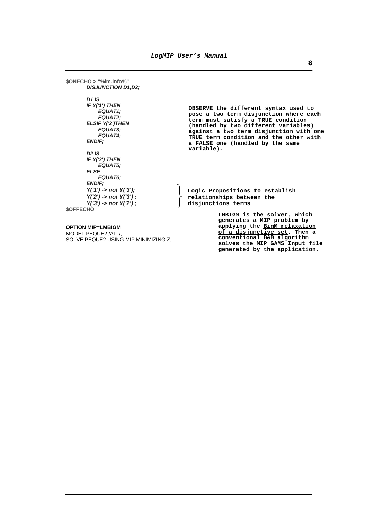| \$ONECHO > "%lm.info%"                                                                                                       |            |                                                                                                                                                                                                                                                                                       |
|------------------------------------------------------------------------------------------------------------------------------|------------|---------------------------------------------------------------------------------------------------------------------------------------------------------------------------------------------------------------------------------------------------------------------------------------|
| <b>DISJUNCTION D1, D2;</b>                                                                                                   |            |                                                                                                                                                                                                                                                                                       |
| D1IS<br>IF Y('1') THEN<br><b>EQUAT1:</b><br>EQUAT2:<br><b>ELSIF Y('2')THEN</b><br><b>EQUAT3:</b><br>EQUAT4:<br><b>ENDIF:</b> | variable). | OBSERVE the different syntax used to<br>pose a two term disjunction where each<br>term must satisfy a TRUE condition<br>(handled by two different variables)<br>against a two term disjunction with one<br>TRUE term condition and the other with<br>a FALSE one (handled by the same |
| D2IS<br>IF Y('3') THEN<br>EQUAT5;<br><b>ELSE</b><br>EQUAT6:<br><b>ENDIF:</b>                                                 |            |                                                                                                                                                                                                                                                                                       |
| $Y('1') - > not Y('3');$                                                                                                     |            | Logic Propositions to establish                                                                                                                                                                                                                                                       |
| $Y('2') \rightarrow not Y('3')$ ;                                                                                            |            | relationships between the                                                                                                                                                                                                                                                             |
| $Y('3') -$ not $Y('2')$ ;<br><b>SOFFECHO</b>                                                                                 |            | disjunctions terms                                                                                                                                                                                                                                                                    |
|                                                                                                                              |            | LMBIGM is the solver, which<br>generates a MIP problem by                                                                                                                                                                                                                             |
| <b>OPTION MIP=LMBIGM</b>                                                                                                     |            | applying the BigM relaxation                                                                                                                                                                                                                                                          |
| MODEL PEQUE2 /ALL/:                                                                                                          |            | of a disjunctive set. Then a<br>conventional B&B algorithm                                                                                                                                                                                                                            |
| SOLVE PEQUE2 USING MIP MINIMIZING Z:                                                                                         |            | solves the MIP GAMS Input file                                                                                                                                                                                                                                                        |

**generated by the application.**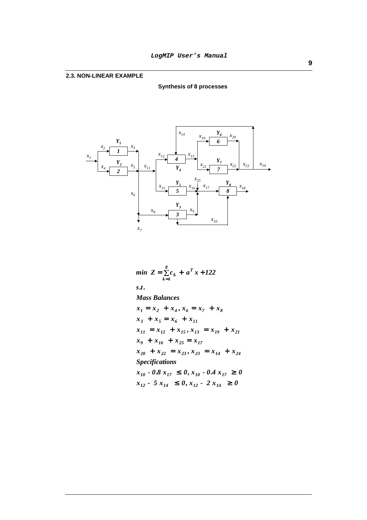**Synthesis of 8 processes**



min 
$$
Z = \sum_{k=1}^{8} c_k + a^T x + 122
$$
  
\ns.t.  
\nMass Balances  
\n $x_1 = x_2 + x_4, x_6 = x_7 + x_8$   
\n $x_3 + x_5 = x_6 + x_{11}$   
\n $x_{11} = x_{12} + x_{15}, x_{13} = x_{19} + x_{21}$   
\n $x_9 + x_{16} + x_{25} = x_{17}$   
\n $x_{20} + x_{22} = x_{23}, x_{23} = x_{14} + x_{24}$   
\nSpecifications  
\n $x_{10} - 0.8 x_{17} \le 0, x_{10} - 0.4 x_{17} \ge 0$   
\n $x_{12} - 5 x_{14} \le 0, x_{12} - 2 x_{14} \ge 0$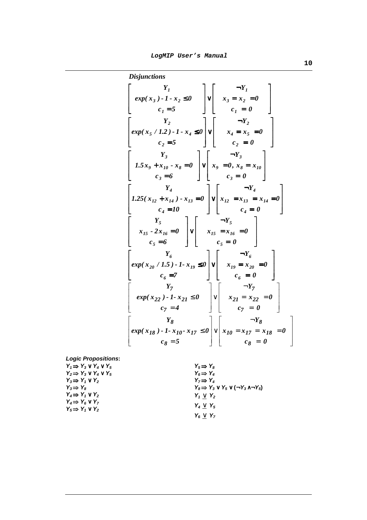| <b>Disjunctions</b>                                                                                                                                       |
|-----------------------------------------------------------------------------------------------------------------------------------------------------------|
| $Y_{1}$<br>$\neg Y_1$                                                                                                                                     |
| $\vert \cdot \vert$<br>$exp(x_3) - 1 - x_2 \le 0$<br>$x_3 = x_2 = 0$                                                                                      |
| $c_1 = 0$<br>$c_j = 5$                                                                                                                                    |
| $\neg Y_2$<br>$Y_{2}$                                                                                                                                     |
| $\left  exp(x_5 / 1.2) - 1 - x_4 \le 0 \right  \vee$<br>$x_4 = x_5 = 0$                                                                                   |
| $c_2 = 5$<br>$c_2 = 0$                                                                                                                                    |
| $1.5x_9 + x_{10} - x_8 = 0$ $\left  \sqrt{\frac{-Y_3}{x_9} - Y_7} \right $ $\left  x_9 = 0, x_8 = x_{10} \right $                                         |
|                                                                                                                                                           |
|                                                                                                                                                           |
| $Y_4$                                                                                                                                                     |
| $\begin{vmatrix} Y_4 \ 1.25(x_{12} + x_{14}) - x_{13} = 0 \end{vmatrix}$ $\vee$ $\begin{vmatrix} x_{12} = x_{13} = x_{14} = 0 \ x_{12} = 0 \end{vmatrix}$ |
| $c_a = 10$                                                                                                                                                |
| $\neg Y_5$<br>$Y_5$                                                                                                                                       |
| $x_{15} - 2x_{16} = 0$ $\left  \vee \right $ $x_{15} = x_{16} = 0$                                                                                        |
| $c_5 = 6$<br>$c_5 = 0$                                                                                                                                    |
| $Y_6$                                                                                                                                                     |
| $\begin{vmatrix} exp(x_{20} / 1.5) - 1 - x_{19} \le 0 \ y \end{vmatrix}$ $\begin{vmatrix} -x_0 \\ x_{19} = x_{20} = 0 \end{vmatrix}$                      |
| $c_{6} = 0$<br>$c_6 = 7$                                                                                                                                  |
| $Y_7$<br>$\neg Y_7$                                                                                                                                       |
| $\left  \vee \right $ $x_{21} = x_{22} = 0$<br>$exp(x_{22}) - 1 - x_{21} \le 0$                                                                           |
| $c_7 = 4$<br>$c_7 = 0$                                                                                                                                    |
| $Y_8$<br>$\neg Y_8$                                                                                                                                       |
| $exp(x_{18}) - 1 - x_{10} - x_{17} \le 0 \lor x_{10} = x_{17} = x_{18} = 0$                                                                               |
| $c_8 = 0$<br>$c_8 = 5$                                                                                                                                    |

# **Logic Propositions:**

| $Y_1 \Rightarrow Y_3 \vee Y_4 \vee Y_5$                          | $Y_5 \Rightarrow Y_8$                                          |
|------------------------------------------------------------------|----------------------------------------------------------------|
| $Y_2 \Rightarrow Y_3 \vee Y_4 \vee Y_5$                          | $Y_{6} \Rightarrow Y_{4}$                                      |
| $Y_3 \Rightarrow Y_1 \vee Y_2$                                   | $Y_7 \Rightarrow Y_4$                                          |
| $Y_3 \Rightarrow Y_8$                                            | $Y_8 \Rightarrow Y_3 \vee Y_5 \vee (\neg Y_3 \wedge \neg Y_5)$ |
| $Y_4 \Rightarrow Y_1 \vee Y_2$                                   | $Y_1 \vee Y_2$                                                 |
| $Y_4 \Rightarrow Y_6 \vee Y_7$<br>$Y_5 \Rightarrow Y_1 \vee Y_2$ | $Y_4 \vee Y_5$                                                 |
|                                                                  | $Y_6 \vee Y_7$                                                 |

 $\overline{\phantom{a}}$  $\overline{\phantom{a}}$  $\overline{\phantom{a}}$ 

1

J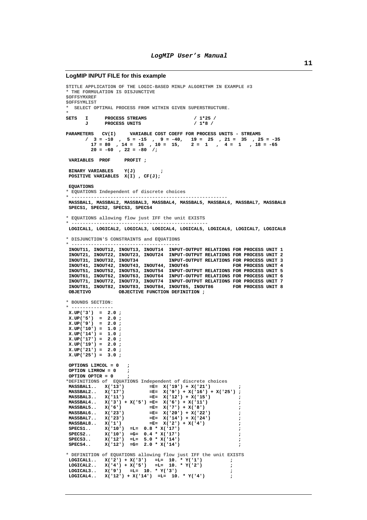#### **LogMIP INPUT FILE for this example**

```
$TITLE APPLICATION OF THE LOGIC-BASED MINLP ALGORITHM IN EXAMPLE #3 
 * THE FORMULATION IS DISJUNCTIVE 
$OFFSYMXREF 
$OFFSYMLIST 
 * SELECT OPTIMAL PROCESS FROM WITHIN GIVEN SUPERSTRUCTURE. 
* 
SETS I PROCESS STREAMS / 1*25 / 1*25 / 1*25 / 1*3 / PROCESS INITS
      J PROCESS UNITS
PARAMETERS CV(I) VARIABLE COST COEFF FOR PROCESS UNITS - STREAMS 
 / 3 = -10 , 5 = -15 , 9 = -40, 19 = 25 , 21 = 35 , 25 = -35 
 17 = 80 , 14 = 15 , 10 = 15, 2 = 1 , 4 = 1 , 18 = -65 
 20 = -60 , 22 = -80 /; 
  VARIABLES PROF PROFIT ; 
 BINARY VARIABLES Y(J) ; 
 POSITIVE VARIABLES X(I) , CF(J); 
 EQUATIONS 
* EQUATIONS Independent of discrete choices 
* -------------------------------------------------------- 
 MASSBAL1, MASSBAL2, MASSBAL3, MASSBAL4, MASSBAL5, MASSBAL6, MASSBAL7, MASSBAL8 
  SPECS1, SPECS2, SPECS3, SPECS4 
* EQUATIONS allowing flow just IFF the unit EXISTS 
* -------------------------------------------------
 LOGICAL1, LOGICAL2, LOGICAL3, LOGICAL4, LOGICAL5, LOGICAL6, LOGICAL7, LOGICAL8 
* DISJUNCTION'S CONSTRAINTS and EQUATIONS 
* --------------------------------------- 
 INOUT11, INOUT12, INOUT13, INOUT14 INPUT-OUTPUT RELATIONS FOR PROCESS UNIT 1 
 INOUT21, INOUT22, INOUT23, INOUT24 INPUT-OUTPUT RELATIONS FOR PROCESS UNIT 2 
  INOUT31, INOUT32, INOUT34 INPUT-OUTPUT RELATIONS FOR PROCESS UNIT 3 
 INOUT41, INOUT42, INOUT43, INOUT44, INOUT45 FOR PROCESS UNIT 4 
 INOUT51, INOUT52, INOUT53, INOUT54 INPUT-OUTPUT RELATIONS FOR PROCESS UNIT 5 
 INOUT61, INOUT62, INOUT63, INOUT64 INPUT-OUTPUT RELATIONS FOR PROCESS UNIT 6 
 INOUT71, INOUT72, INOUT73, INOUT74 INPUT-OUTPUT RELATIONS FOR PROCESS UNIT 7 
 INOUT81, INOUT82, INOUT83, INOUT84, INOUT85, INOUT86 FOR PROCESS UNIT 8 
  OBJETIVO OBJECTIVE FUNCTION DEFINITION ; 
* BOUNDS SECTION: 
 * --------------- 
 X.UP('3') = 2.0 ; 
  X.UP('5') = 2.0 ; 
  X.UP('9') = 2.0 ; 
 X.UP('10') = 1.0 ;
 X.UP('14') = 1.0 X.UP('17') = 2.0 ; 
  X.UP('19') = 2.0 ; 
 X.UP('21') = 2.0 ;X.UP('25') = 3.0 ;
  OPTIONS LIMCOL = 0 ; 
 OPTION LIMROW = 0 ; 
 OPTION OPTCR = 0 ; 
*DEFINITIONS of EQUATIONS Independent of discrete choices 
 MASSBAL1.. X('13')<br>
MASSBAL2.. X('17') =E= X('19') + X('21')<br>
=E= X('9') + X('16') +MASSBAL2.. X('17') =E= X('9') + X('16') + X('25')<br>MASSBAL3.. X('11') =E= X('12') + X('15') ;
 MASSBAL3.. X('11') =E= X('12') + X('15')<br>MASSBAL4.. X('3') + X('5') = E= X('6') + X('11') ;
 MASSBAL4.. X('3') + X('5') = E= X('6') + X('11')<br>MASSBAL5.. X('6') = E= X('7') + X('8')MASSBAL5.. X('6') =E= X('7') + X('8')<br>
MASSBAL6. X('23') =E= X('20') + X('22')<br>
MASSBAL7. X('23') =E= X('14') + X('24') ;
 MASSBAL6.. X('23') =E= X('20') + X('22') ; 
 MASSBAL7.. X('23') =E= X('14') + X('24') ; 
 MASSBAL8. X('1') =E= X('2') + X('4')<br>
SPECS1. X('10') =L= 0.8 * X('17') ;
 SPECS1.. X('10') =L= 0.8 * X('17') ; 
 SPECS2.. X('10') =G= 0.4 * X('17') ; 
 SPECS3.. X('12') =L= 5.0 * X('14') ; 
 SPECS4.. X('12') =G= 2.0 * X('14') ; 
* DEFINITION of EQUATIONS allowing flow just IFF the unit EXISTS 
LOGICAL1.. X('2') + X('3') = L = 10. * Y('1') ;
LOGICAL2.. X('4') + X('5') = L = 10. * Y('2') ;
 LOGICAL3.. X('9') = L = 10. * Y('3')ESSECTINIST: X(Y, Y) = 2 - 2x: Y(Y, Y)<br>
LOGICAL4.. X(Y, 12^x) + X(Y, 14^x) = 12 - 10. * Y(Y, 4^x)
```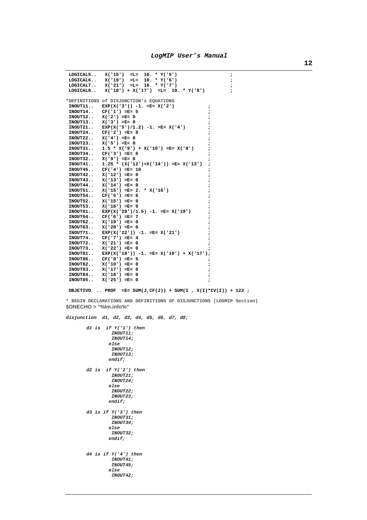```
 LOGICAL5.. X('15') =L= 10. * Y('5') ; 
 LOGICAL6.. X('19') =L= 10. * Y('6') ; 
 LOGICAL7.. X('21') =L= 10. * Y('7') ; 
  LOGICAL8.. X('10') + X('17') =L= 10. * Y('8') ; 
*DEFINITIONS of DISJUNCTION's EQUATIONS 
 INOUT11.. EXP(X('3')) -1. =E= X('2') ;<br>INOUT14.. CF('1') =E= 5 ;
            CF('1') =E= 5 ;
 INOUT12.. X('2') = E= 0 ;<br>INOUT13.. X('3') = E= 0 ;
 INOUT13.. X('3') =E= 0 ; 
INOUT21.. EXP(X('5')/1.2) -1. =E= X('4') ;
  INOUT24.. CF('2') =E= 8 ; 
  INOUT22.. X('4') =E= 0 ; 
  INOUT23.. X('5') =E= 0 ; 
 INOUT31.. 1.5 * X('9') + X('10') = E = X('8')<br>INOUT34.. CF('3') =E= 6 ;
 INOUT34.. CF('3') = E = 6<br>INOUT32.. X('9') = E = 0 INOUT32.. X('9') =E= 0 ; 
 INOUT41.. 1.25 * (X('12')+X('14')) = E = X('13')<br>INOUT45.. CF('4') =E= 10 ;
 INOUT45.. CF('4') =E= 10 ;<br>
INOUT42.. X(12!) = E = 0 ;
 INOUT42.. X('12') = E = 0<br>
INOUT43.. X('13') = E = 0INOUT43.. X('13') = E= 0<br>
INOUT44.. X('14') = E= 0INOUT44.. X('14') = E = 0<br>
INOUT51.. X('15') = E = 2. * X('16')<br>
;
            X('15') = E= 2. * X('16') ;
 INOUT54.. CF('5') =E= 6 ;<br>INOUT52.. X('15') =E= 0 ;
            X('15') = E = 0 ;
 INOUT53.. X('16') = E= 0<br>
INOUT61.. EXP(X('20')/1.5) -1. =E= X('19')INOUT61.. EXP(X('20')/1.5) -1. =E= X('19') ;<br>
INOUT64.. CF(Y(6)) =E= 7
 INOUT64.. CF('6') =E= 7<br>INOUT62.. X('19') =E= 0 ;
 INOUT62.. X(19') = E = 0<br>
INOUT63.. X(120') = E = 0INOUT63.. X('20') = E = 0<br>
INOUT63.. X('20') = E = 0<br>
INOUT71.. EXP(X('22')) -1. = E = X('21')INOUT71.. EXP(X('22')) -1. =E= X('21') ;<br>
INOUT74.. CF('7') =E= 4 ;
 INOUT74.. CF('7') =E= 4<br>
INOUT72.. X('21') =E= 0 ;
            X('21') = E = 0 ;
 INOUT73.. X('22') = E = 0<br>INOUT81.. EXP(X('18'))
 INOUT81.. EXP(X('18')) -1. =E= X('10') + X('17');<br>
INOUT86.. CF('8') =E= 5
 INOUT86.. CF('8') =E= 5<br>
INOUT82.. X('10') =E= 0 ;<br>
;
 INOUT82.. X('10') =E= 0 ; 
 INOUT83.. X('17') =E= 0 ; 
  INOUT84.. X('18') =E= 0 ; 
 INOUT85.. X('25') = E = 0 ;
 OBJETIVO .. PROF = E= SUM(J,CF(J)) + SUM(I, X(I)*CV(I)) + 122 ;
* BEGIN DECLARATIONS AND DEFINITIONS OF DISJUNCTIONS (LOGMIP Section) 
$ONECHO > "%lm.info%" 
disjunction d1, d2, d3, d4, d5, d6, d7, d8; 
       d1 is if Y('1') then 
                 INOUT11; 
                 INOUT14; 
                else 
                 INOUT12; 
                 INOUT13; 
                endif; 
       d2 is if Y('2') then 
                 INOUT21; 
                 INOUT24; 
                else 
                 INOUT22; 
                 INOUT23; 
                endif; 
       d3 is if Y('3') then 
                 INOUT31; 
                 INOUT34; 
                else 
                 INOUT32; 
                endif; 
       d4 is if Y('4') then 
                 INOUT41; 
                 INOUT45; 
                else 
                 INOUT42;
```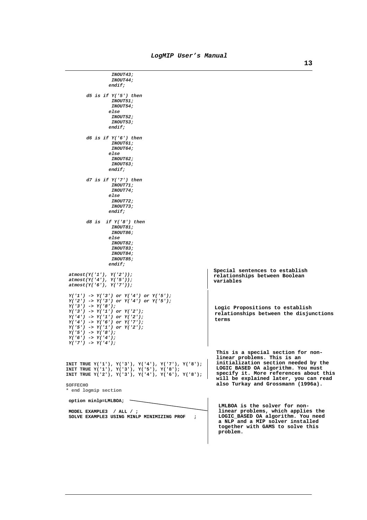```
 INOUT43; 
                  INOUT44; 
                endif; 
       d5 is if Y('5') then 
                  INOUT51; 
                 INOUT54; 
                else 
                 INOUT52; 
                 INOUT53; 
                endif; 
       d6 is if Y('6') then 
                 INOUT61; 
                 INOUT64; 
                else 
                TNTTT62\cdot INOUT63; 
                 endif; 
       d7 is if Y('7') then 
                 INOUT71; 
                  INOUT74; 
                else 
                  INOUT72; 
                 INOUT73; 
                endif; 
       d8 is if Y('8') then 
                  INOUT81; 
                  INOUT86; 
                else 
                  INOUT82; 
                  INOUT83; 
                  INOUT84; 
                 INOUT85; 
                endif; 
  atmost(Y('1'), Y('2')); 
  atmost(Y('4'), Y('5')); 
  atmost(Y('6'), Y('7')); 
  Y('1') -> Y('3') or Y('4') or Y('5'); 
Y('2') \rightarrow Y('3') or Y('4') or Y('5');
  Y('3') -> Y('8'); 
 Y('3') -> Y('1') or Y('2'); 
 Y('4') -> Y('1') or Y('2'); 
  Y('4') -> Y('6') or Y('7'); 
 Y('5') \rightarrow Y('1') or Y('2'); Y('5') -> Y('8'); 
 Y('6') -> Y('4'); 
 Y('7') -> Y('4'); 
INIT TRUE Y('1'), Y('3'), Y('4'), Y('7'), Y('8'); 
INIT TRUE Y('1'), Y('3'), Y('5'), Y('8'); 
INIT TRUE Y('2'), Y('3'), Y('4'), Y('6'), Y('8');
$OFFECHO 
 * end logmip section 
  option minlp=LMLBOA; 
 MODEL EXAMPLE3 / ALL / ; 
 SOLVE EXAMPLE3 USING MINLP MINIMIZING PROF ; 
                                                         LMLBOA is the solver for non-
                                                         linear problems, which applies the 
                                                         LOGIC_BASED OA algorithm. You need 
                                                         a NLP and a MIP solver installed 
                                                         together with GAMS to solve this 
                                                         problem. 
                                                        This is a special section for non-
                                                        linear problems. This is an 
                                                        initialization section needed by the 
                                                        LOGIC BASED OA algorithm. You must 
                                                        specify it. More references about this 
                                                        will be explained later, you can read 
                                                        also Turkay and Grossmann (1996a). 
                                                       Special sentences to establish 
                                                       relationships between Boolean 
                                                       variables 
                                                       Logic Propositions to establish 
                                                       relationships between the disjunctions 
                                                       terms
```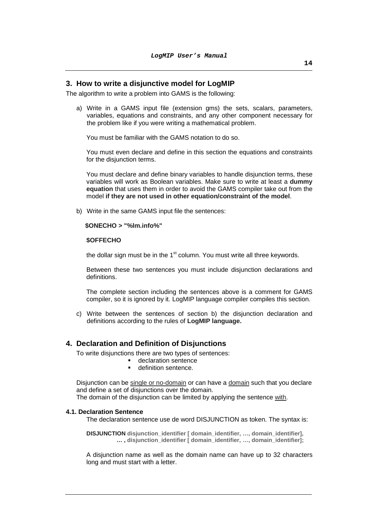# **3. How to write a disjunctive model for LogMIP**

The algorithm to write a problem into GAMS is the following:

a) Write in a GAMS input file (extension gms) the sets, scalars, parameters, variables, equations and constraints, and any other component necessary for the problem like if you were writing a mathematical problem.

You must be familiar with the GAMS notation to do so.

You must even declare and define in this section the equations and constraints for the disjunction terms.

You must declare and define binary variables to handle disjunction terms, these variables will work as Boolean variables. Make sure to write at least a **dummy equation** that uses them in order to avoid the GAMS compiler take out from the model **if they are not used in other equation/constraint of the model**.

b) Write in the same GAMS input file the sentences:

#### **\$ONECHO > "%lm.info%"**

#### **\$OFFECHO**

the dollar sign must be in the  $1<sup>st</sup>$  column. You must write all three keywords.

Between these two sentences you must include disjunction declarations and definitions.

The complete section including the sentences above is a comment for GAMS compiler, so it is ignored by it. LogMIP language compiler compiles this section.

c) Write between the sentences of section b) the disjunction declaration and definitions according to the rules of **LogMIP language.** 

# **4. Declaration and Definition of Disjunctions**

To write disjunctions there are two types of sentences:

- **declaration sentence**
- definition sentence.

Disjunction can be single or no-domain or can have a domain such that you declare and define a set of disjunctions over the domain.

The domain of the disjunction can be limited by applying the sentence with.

# **4.1. Declaration Sentence**

The declaration sentence use de word DISJUNCTION as token. The syntax is:

**DISJUNCTION** disjunction\_identifier [ domain\_identifier, ..., domain\_identifier],  **… , disjunction\_identifier [ domain\_identifier, …, domain\_identifier];**

A disjunction name as well as the domain name can have up to 32 characters long and must start with a letter.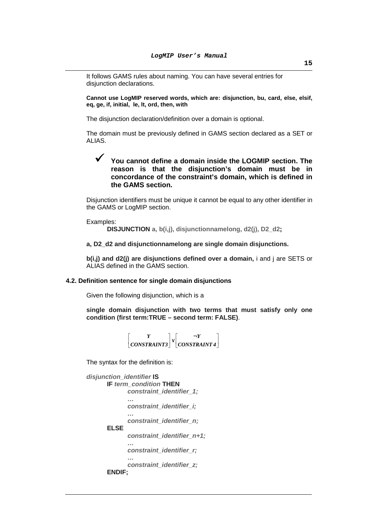It follows GAMS rules about naming. You can have several entries for disjunction declarations.

**Cannot use LogMIP reserved words, which are: disjunction, bu, card, else, elsif, eq, ge, if, initial, le, lt, ord, then, with** 

The disjunction declaration/definition over a domain is optional.

The domain must be previously defined in GAMS section declared as a SET or ALIAS.

- **You cannot define a domain inside the LOGMIP section. The reason is that the disjunction's domain must be in concordance of the constraint's domain, which is defined in the GAMS section.** 

Disjunction identifiers must be unique it cannot be equal to any other identifier in the GAMS or LogMIP section.

Examples:

**DISJUNCTION a, b(i,j), disjunctionnamelong, d2(j), D2\_d2;** 

**a, D2\_d2 and disjunctionnamelong are single domain disjunctions.** 

**b(i,j) and d2(j) are disjunctions defined over a domain,** i and j are SETS or ALIAS defined in the GAMS section.

## **4.2. Definition sentence for single domain disjunctions**

Given the following disjunction, which is a

**single domain disjunction with two terms that must satisfy only one condition (first term:TRUE – second term: FALSE)**.

*CONSTRAINT 4 Y CONSTRAINT3*  $\left.\begin{matrix} Y & & \neg Y \ \neg Y & \text{CONSTRAINT 4} \end{matrix} \right|$ 1  $\overline{\phantom{a}}$  $\bigg] \vee \bigg[$  CONSTI 1  $\overline{\phantom{a}}$ Γ

The syntax for the definition is:

```
disjunction_identifier IS 
      IF term_condition THEN 
             constraint_identifier_1; 
              … 
              constraint_identifier_i; 
        … 
              constraint_identifier_n;
      ELSE 
             constraint_identifier_n+1; 
        … 
              constraint_identifier_r; 
        … 
              constraint_identifier_z; 
      ENDIF;
```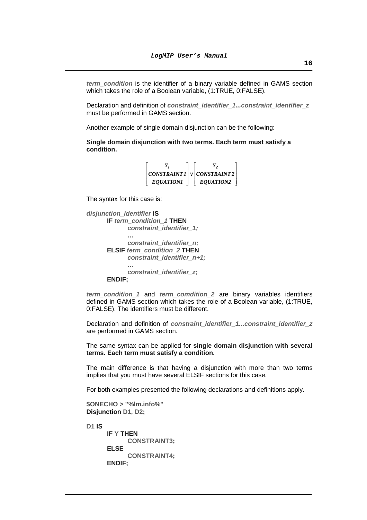**term\_condition** is the identifier of a binary variable defined in GAMS section which takes the role of a Boolean variable, (1:TRUE, 0:FALSE).

Declaration and definition of *constraint identifier* 1...constraint identifier z must be performed in GAMS section.

Another example of single domain disjunction can be the following:

**Single domain disjunction with two terms. Each term must satisfy a condition.**

|                  | $CONSTRAINTI \times CONSTRAINT2$ |
|------------------|----------------------------------|
| <b>EOUATION1</b> | EOUATION2                        |

The syntax for this case is:

**disjunction\_identifier IS IF term\_condition\_1 THEN constraint\_identifier\_1; … constraint\_identifier\_n; ELSIF term\_condition\_2 THEN constraint\_identifier\_n+1; … constraint\_identifier\_z; ENDIF;** 

**term\_condition\_1** and **term\_comdition\_2** are binary variables identifiers defined in GAMS section which takes the role of a Boolean variable, (1:TRUE, 0:FALSE). The identifiers must be different.

Declaration and definition of *constraint identifier 1...constraint identifier* z are performed in GAMS section.

The same syntax can be applied for **single domain disjunction with several terms. Each term must satisfy a condition.** 

The main difference is that having a disjunction with more than two terms implies that you must have several ELSIF sections for this case.

For both examples presented the following declarations and definitions apply.

**\$ONECHO > "%lm.info%" Disjunction D1, D2;**

**D1 IS**

**IF Y THEN CONSTRAINT3; ELSE CONSTRAINT4; ENDIF;**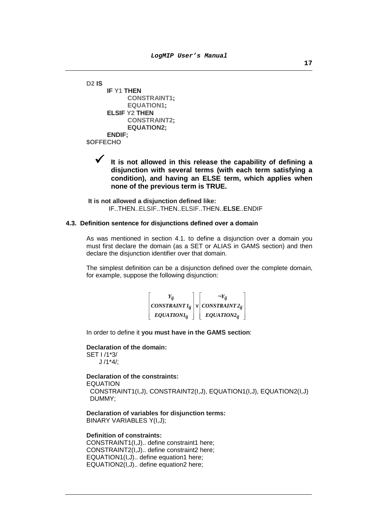```
D2 IS
     IF Y1 THEN
            CONSTRAINT1;
            EQUATION1;
     ELSIF Y2 THEN
             CONSTRAINT2;
             EQUATION2;
     ENDIF; 
$OFFECHO
```
 $\checkmark$  **It is not allowed in this release the capability of defining a disjunction with several terms (with each term satisfying a condition), and having an ELSE term, which applies when none of the previous term is TRUE.** 

 **It is not allowed a disjunction defined like:**  IF..THEN..ELSIF..THEN..ELSIF..THEN..**ELSE**..ENDIF

## **4.3. Definition sentence for disjunctions defined over a domain**

As was mentioned in section 4.1. to define a disjunction over a domain you must first declare the domain (as a SET or ALIAS in GAMS section) and then declare the disjunction identifier over that domain.

The simplest definition can be a disjunction defined over the complete domain, for example, suppose the following disjunction:

$$
\begin{bmatrix} Y_{ij} \\ \text{CONSTRAINT1}_{ij} \\ \text{EQUATION1}_{ij} \end{bmatrix} \times \begin{bmatrix} \neg Y_{ij} \\ \text{CONSTRAINT2}_{ij} \\ \text{EQUATION2}_{ij} \end{bmatrix}
$$

In order to define it **you must have in the GAMS section**:

**Declaration of the domain:**  SET I /1\*3/ J /1\*4/;

**Declaration of the constraints:**  EQUATION CONSTRAINT1(I,J), CONSTRAINT2(I,J), EQUATION1(I,J), EQUATION2(I,J) DUMMY;

**Declaration of variables for disjunction terms:**  BINARY VARIABLES Y(I,J);

# **Definition of constraints:**

CONSTRAINT1(I,J).. define constraint1 here; CONSTRAINT2(I,J).. define constraint2 here; EQUATION1(I,J).. define equation1 here; EQUATION2(I,J).. define equation2 here;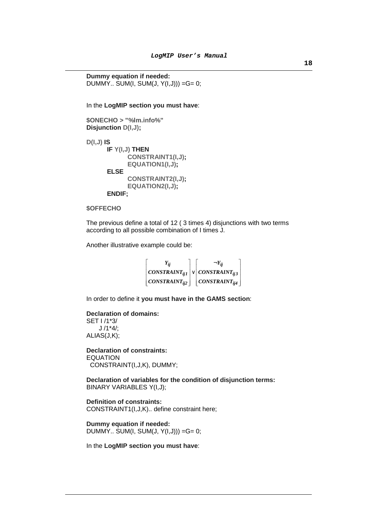```
Dummy equation if needed: 
DUMMY.. SUM(I, SUM(J, Y(I,J))) = G = 0;
 In the LogMIP section you must have: 
$ONECHO > "%lm.info%" 
Disjunction D(I,J);
D(I,J) IS
      IF Y(I,J) THEN
              CONSTRAINT1(I,J); 
              EQUATION1(I,J); 
      ELSE 
              CONSTRAINT2(I,J); 
              EQUATION2(I,J);
      ENDIF;
```
# **\$OFFECHO**

The previous define a total of 12 ( 3 times 4) disjunctions with two terms according to all possible combination of I times J.

Another illustrative example could be:

| l ;;                                                           | $\neg Y_{ii}$                     |
|----------------------------------------------------------------|-----------------------------------|
| CONSTRAINT <sub>ii1</sub> $  \vee  $ CONSTRAINT <sub>ii3</sub> |                                   |
| $CONSTRAINT_{ii2}$                                             | $\vert$ CONSTRAINT <sub>ii4</sub> |

In order to define it **you must have in the GAMS section**:

**Declaration of domains:**  SET I /1\*3/ J /1\*4/; ALIAS(J,K);

**Declaration of constraints:**  EQUATION CONSTRAINT(I,J,K), DUMMY;

**Declaration of variables for the condition of disjunction terms:**  BINARY VARIABLES Y(I,J);

**Definition of constraints:**  CONSTRAINT1(I,J,K).. define constraint here;

**Dummy equation if needed:**  DUMMY.. SUM(I, SUM(J, Y(I,J))) =  $G = 0$ ;

In the **LogMIP section you must have**: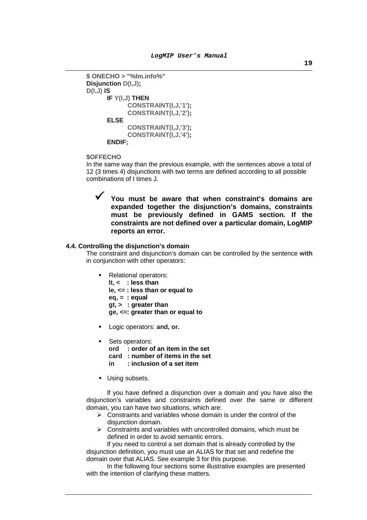```
$ ONECHO > "%lm.info%" 
Disjunction D(I,J);
D(I,J) IS
      IF Y(I,J) THEN
              CONSTRAINT(I,J,'1'); 
              CONSTRAINT(I,J,'2');
       ELSE 
              CONSTRAINT(I,J,'3'); 
              CONSTRAINT(I,J,'4');
       ENDIF;
```
**\$OFFECHO** 

In the same way than the previous example, with the sentences above a total of 12 (3 times 4) disjunctions with two terms are defined according to all possible combinations of I times J.



## **4.4. Controlling the disjunction's domain**

The constraint and disjunction's domain can be controlled by the sentence **with** in conjunction with other operators:

- Relational operators:  **lt, < : less than le, <= : less than or equal to eq, = : equal gt, > : greater than ge, <=: greater than or equal to**
- Logic operators: **and, or.**
- **Sets operators:** 
	- **ord : order of an item in the set**
	- **card : number of items in the set**
	- **in : inclusion of a set item**
- **Using subsets.**

 If you have defined a disjunction over a domain and you have also the disjunction's variables and constraints defined over the same or different domain, you can have two situations, which are:

- $\triangleright$  Constraints and variables whose domain is under the control of the disjunction domain.
- $\triangleright$  Constraints and variables with uncontrolled domains, which must be defined in order to avoid semantic errors.

If you need to control a set domain that is already controlled by the disjunction definition, you must use an ALIAS for that set and redefine the domain over that ALIAS. See example 3 for this purpose.

In the following four sections some illustrative examples are presented with the intention of clarifying these matters.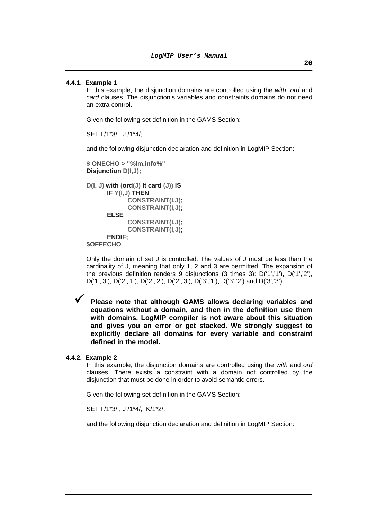## **4.4.1. Example 1**

In this example, the disjunction domains are controlled using the *with, ord* and card clauses. The disjunction's variables and constraints domains do not need an extra control.

Given the following set definition in the GAMS Section:

SET I /1\*3/ , J /1\*4/;

and the following disjunction declaration and definition in LogMIP Section:

```
$ ONECHO > "%lm.info%" 
Disjunction D(I,J);
D(I, J) with (ord(J) lt card (J)) IS
      IF Y(I,J) THEN
              CONSTRAINT(I,J); 
              CONSTRAINT(I,J);
      ELSE 
              CONSTRAINT(I,J); 
              CONSTRAINT(I,J);
      ENDIF;
$OFFECHO
```
Only the domain of set J is controlled. The values of J must be less than the cardinality of J, meaning that only 1, 2 and 3 are permitted. The expansion of the previous definition renders 9 disjunctions (3 times 3): D('1','1'), D('1','2'), D('1','3'), D('2','1'), D('2','2'), D('2','3'), D('3','1'), D('3','2') and D('3','3').

```
\checkmark
```
 **Please note that although GAMS allows declaring variables and equations without a domain, and then in the definition use them with domains, LogMIP compiler is not aware about this situation and gives you an error or get stacked. We strongly suggest to explicitly declare all domains for every variable and constraint defined in the model.** 

# **4.4.2. Example 2**

In this example, the disjunction domains are controlled using the with and ord clauses. There exists a constraint with a domain not controlled by the disjunction that must be done in order to avoid semantic errors.

Given the following set definition in the GAMS Section:

SET I /1\*3/ , J /1\*4/, K/1\*2/;

and the following disjunction declaration and definition in LogMIP Section: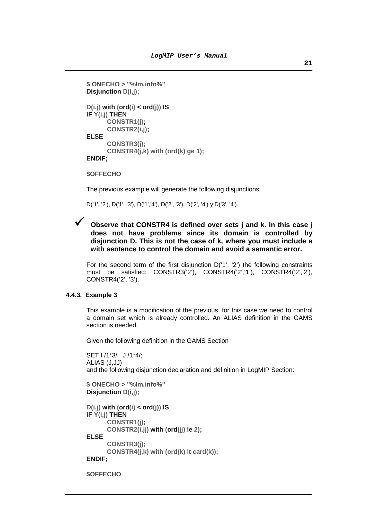```
$ ONECHO > "%lm.info%"
Disjunction D(i,j);
D(i,j) with (ord(i) < ord(j)) IS
 IF Y(i,j) THEN
        CONSTR1(j);
        CONSTR2(i,j); 
 ELSE
        CONSTR3(j);
        CONSTR4(j,k) with (ord(k) ge 1);
 ENDIF;
```
**\$OFFECHO**

The previous example will generate the following disjunctions:

D('1', '2'), D('1', '3'), D('1','4'), D('2', '3'), D('2', '4') y D('3', '4').

 $\checkmark$ 

 **Observe that CONSTR4 is defined over sets j and k. In this case j does not have problems since its domain is controlled by disjunction D. This is not the case of k, where you must include a with sentence to control the domain and avoid a semantic error.** 

For the second term of the first disjunction D('1', '2') the following constraints must be satisfied: CONSTR3('2'), CONSTR4('2','1'), CONSTR4('2','2'), CONSTR4('2', '3').

# **4.4.3. Example 3**

This example is a modification of the previous, for this case we need to control a domain set which is already controlled. An ALIAS definition in the GAMS section is needed.

Given the following definition in the GAMS Section

SET I /1\*3/ , J /1\*4/; ALIAS (J,JJ) and the following disjunction declaration and definition in LogMIP Section:

```
$ ONECHO > "%lm.info%"
Disjunction D(i,j);
```

```
D(i,j) with (ord(i) < ord(j)) IS
 IF Y(i,j) THEN
        CONSTR1(j);
        CONSTR2(i,jj) with (ord(jj) le 2); 
 ELSE
        CONSTR3(j);
        CONSTR4(j,k) with (ord(k) lt card(k));
 ENDIF;
```

```
$OFFECHO
```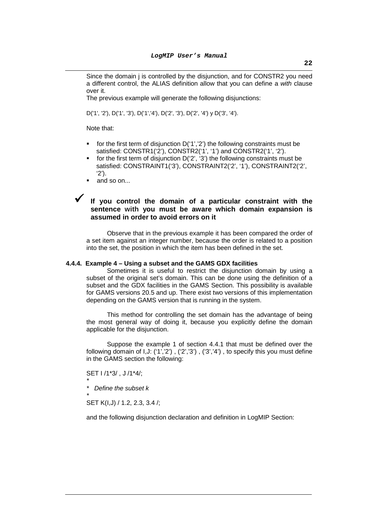Since the domain j is controlled by the disjunction, and for CONSTR2 you need a different control, the ALIAS definition allow that you can define a with clause over it.

The previous example will generate the following disjunctions:

D('1', '2'), D('1', '3'), D('1','4'), D('2', '3'), D('2', '4') y D('3', '4').

Note that:

- for the first term of disjunction D('1','2') the following constraints must be satisfied: CONSTR1('2'), CONSTR2('1', '1') and CONSTR2('1', '2').
- for the first term of disjunction D('2', '3') the following constraints must be satisfied: CONSTRAINT1('3'), CONSTRAINT2('2', '1'), CONSTRAINT2('2', '2').
- and so on...

 $\checkmark$ 

# **If you control the domain of a particular constraint with the sentence with you must be aware which domain expansion is assumed in order to avoid errors on it**

Observe that in the previous example it has been compared the order of a set item against an integer number, because the order is related to a position into the set, the position in which the item has been defined in the set.

#### **4.4.4. Example 4 – Using a subset and the GAMS GDX facilities**

Sometimes it is useful to restrict the disjunction domain by using a subset of the original set's domain. This can be done using the definition of a subset and the GDX facilities in the GAMS Section. This possibility is available for GAMS versions 20.5 and up. There exist two versions of this implementation depending on the GAMS version that is running in the system.

This method for controlling the set domain has the advantage of being the most general way of doing it, because you explicitly define the domain applicable for the disjunction.

Suppose the example 1 of section 4.4.1 that must be defined over the following domain of I,J: ('1','2'), ('2','3'), ('3','4'), to specify this you must define in the GAMS section the following:

SET I /1\*3/ , J /1\*4/;

\*

\*

\* Define the subset k

SET K(I,J) / 1.2, 2.3, 3.4 /;

and the following disjunction declaration and definition in LogMIP Section: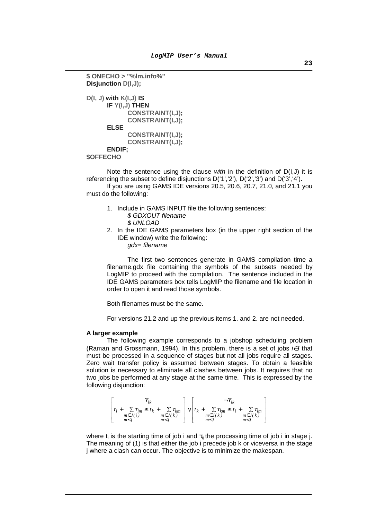```
$ ONECHO > "%lm.info%" 
Disjunction D(I,J);
D(I, J) with K(I,J) IS
      IF Y(I,J) THEN
              CONSTRAINT(I,J); 
              CONSTRAINT(I,J);
      ELSE 
              CONSTRAINT(I,J); 
              CONSTRAINT(I,J);
      ENDIF;
$OFFECHO
```
Note the sentence using the clause with in the definition of  $D(I,J)$  it is referencing the subset to define disjunctions  $D('1', '2'), D('2', '3')$  and  $D('3', '4').$ 

 If you are using GAMS IDE versions 20.5, 20.6, 20.7, 21.0, and 21.1 you must do the following:

- 1. Include in GAMS INPUT file the following sentences: \$ GDXOUT filename
	- \$ UNLOAD
- 2. In the IDE GAMS parameters box (in the upper right section of the IDE window) write the following: gdx= filename

The first two sentences generate in GAMS compilation time a filename.gdx file containing the symbols of the subsets needed by LogMIP to proceed with the compilation. The sentence included in the IDE GAMS parameters box tells LogMIP the filename and file location in order to open it and read those symbols.

Both filenames must be the same.

For versions 21.2 and up the previous items 1. and 2. are not needed.

#### **A larger example**

The following example corresponds to a jobshop scheduling problem (Raman and Grossmann, 1994). In this problem, there is a set of jobs  $i \in I$  that must be processed in a sequence of stages but not all jobs require all stages. Zero wait transfer policy is assumed between stages. To obtain a feasible solution is necessary to eliminate all clashes between jobs. It requires that no two jobs be performed at any stage at the same time. This is expressed by the following disjunction:

| $I_{ik}$   |      |                                                                                                                                                                                                                                                                                                    |      |
|------------|------|----------------------------------------------------------------------------------------------------------------------------------------------------------------------------------------------------------------------------------------------------------------------------------------------------|------|
|            |      | $\left \, t_i \,+\, \sum_{m\in J(i)} \hspace{-1mm} \mathcal{I}_{im} \leq t_k \,+\, \sum_{m\in J(k)} \hspace{-1mm} \mathcal{I}_{km} \,\,\right  \,\vee\, \left \, t_k \,+\, \sum_{m\in J(k)} \hspace{-1mm} \mathcal{I}_{km} \leq t_i \,+\, \sum_{m\in J(k)} \hspace{-1mm} \mathcal{I}_{im} \right $ |      |
| $m \leq i$ | m< i | $m \leq i$                                                                                                                                                                                                                                                                                         | m< i |

where t<sub>i</sub> is the starting time of job i and  $\tau_{ii}$  the processing time of job i in stage j. The meaning of (1) is that either the job i precede job k or viceversa in the stage j where a clash can occur. The objective is to minimize the makespan.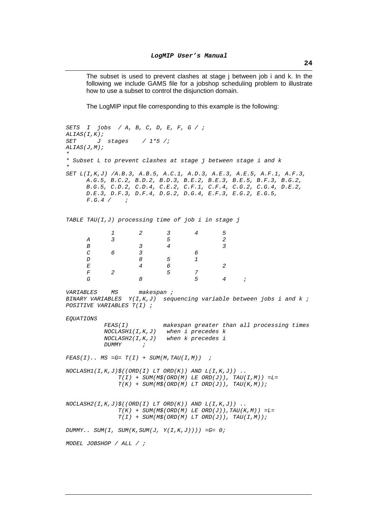The subset is used to prevent clashes at stage j between job i and k. In the following we include GAMS file for a jobshop scheduling problem to illustrate how to use a subset to control the disjunction domain.

The LogMIP input file corresponding to this example is the following:

```
SETS I jobs / A, B, C, D, E, F, G /;
ALIAS(I,K);<br>SET JJ stages / 1*5 /;
ALIAS(J,M);* 
* Subset L to prevent clashes at stage j between stage i and k 
* 
SET L(I,K,J) /A.B.3, A.B.5, A.C.1, A.D.3, A.E.3, A.E.5, A.F.1, A.F.3, 
     A.G.5, B.C.2, B.D.2, B.D.3, B.E.2, B.E.3, B.E.5, B.F.3, B.G.2, 
      B.G.5, C.D.2, C.D.4, C.E.2, C.F.1, C.F.4, C.G.2, C.G.4, D.E.2, 
      D.E.3, D.F.3, D.F.4, D.G.2, D.G.4, E.F.3, E.G.2, E.G.5, 
     F.G.4 /TABLE TAU(I, J) processing time of job i in stage j 1 2 3 4 5 
A 3 5 2
B 3 4 3
 C 6 3 6 
     \begin{array}{ccccccccc}\nD & & & 8 & & 5 & & 1 \\
E & & & 4 & & 6 & & &\n\end{array}E 4 6 2
F 2 5 7
G 8 5 4 ;
VARIABLES MS makespan ; 
BINARY VARIABLES Y(I,K,J) sequencing variable between jobs i and k;
POSITIVE VARIABLES T(I) ; 
EQUATIONS 
           FEAS(I) makespan greater than all processing times 
          NOCLASH1(I,K,J) when i precedes k
          NOCLASH2(I,K,J) when k precedes i
           DUMMY ; 
FEAS(I).. MS =G= T(I) + SUM(M,TAU(I,M)) ;
NOCLASH1(I,K,J)$((ORD(I) LT ORD(K)) AND L(I,K,J)) ..
              T(\,I\,) \ + \ \textit{SUM}(\,\textit{M}\textit{S} \,(\,\textit{ORD} \,(\,\textit{M}\,) \ \ L \ \textit{E} \ \ \textit{ORD} \,(\,\textit{J}\,) \,) \ , \ \ \textit{TAU} \,(\,\textit{I}\,\,,\textit{M} \,) \,) \ = \ \textit{L} =T(K) + SUM(M$(ORD(M) LT ORD(J)), TAU(K,M));
NOCLASH2(I,K,J)$((ORD(I) LT ORD(K)) AND L(I,K,J)) ..
              T(K) + SUM(M$(ORD(M) LE ORD(J)), TAU(K,M)) =L=
              T(I) + SUM(M$(ORD(M) LT ORD(J)), TAU(I,M));
DUMMY.. SUM(I, SUM(K, SUM(J, Y(I, K, J)))) = G= 0;
MODEL JOBSHOP / ALL / ;
```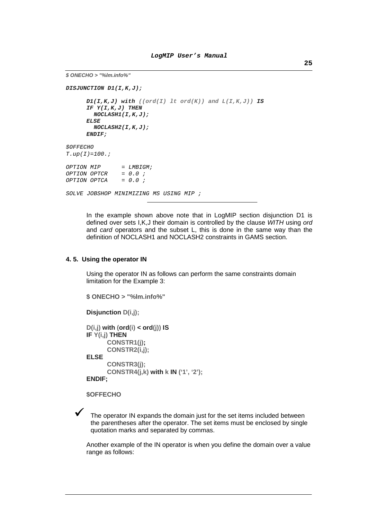```
$ ONECHO > "%lm.info%" 
DISJUNCTION D1(I,K,J); 
      DI(I,K,J) with ((ord(I) 1t ord(K)) and L(I,K,J)) IS
      IF Y(I,K,J) THEN 
         NOCLASH1(I,K,J); 
      ELSE 
         NOCLASH2(I,K,J); 
      ENDIF; 
$OFFECHO 
T.\upmu(T)=100.;
OPTION MIP = LMBIGM;OPTION OPTCR = 0.0 ; 
OPTION OPTCA = 0.0 ; 
SOLVE JOBSHOP MINIMIZING MS USING MIP ;
```
In the example shown above note that in LogMIP section disjunction D1 is defined over sets I,K,J their domain is controlled by the clause WITH using ord and card operators and the subset L, this is done in the same way than the definition of NOCLASH1 and NOCLASH2 constraints in GAMS section.

## **4. 5. Using the operator IN**

Using the operator IN as follows can perform the same constraints domain limitation for the Example 3:

```
$ ONECHO > "%lm.info%"
```

```
Disjunction D(i,j);
```

```
D(i,j) with (ord(i) < ord(j)) IS
 IF Y(i,j) THEN
        CONSTR1(j);
        CONSTR2(i,j);
 ELSE
        CONSTR3(j);
        CONSTR4(j,k) with k IN ('1', '2');
 ENDIF;
```
**\$OFFECHO**



 The operator IN expands the domain just for the set items included between the parentheses after the operator. The set items must be enclosed by single quotation marks and separated by commas.

Another example of the IN operator is when you define the domain over a value range as follows: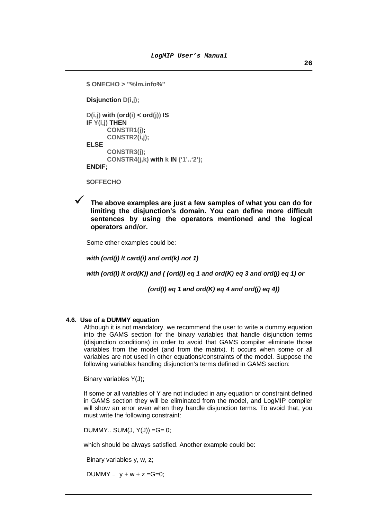```
$ ONECHO > "%lm.info%"
Disjunction D(i,j);
D(i,j) with (ord(i) < ord(j)) IS
 IF Y(i,j) THEN
        CONSTR1(j);
        CONSTR2(i,j);
 ELSE
        CONSTR3(j);
        CONSTR4(j,k) with k IN ('1'..'2');
 ENDIF;
```
**\$OFFECHO**

 $\checkmark$ 

 **The above examples are just a few samples of what you can do for limiting the disjunction's domain. You can define more difficult sentences by using the operators mentioned and the logical operators and/or.** 

Some other examples could be:

**with (ord(j) lt card(i) and ord(k) not 1)** 

**with (ord(I) lt ord(K)) and ( (ord(I) eq 1 and ord(K) eq 3 and ord(j) eq 1) or** 

 **(ord(I) eq 1 and ord(K) eq 4 and ord(j) eq 4))** 

#### **4.6. Use of a DUMMY equation**

Although it is not mandatory, we recommend the user to write a dummy equation into the GAMS section for the binary variables that handle disjunction terms (disjunction conditions) in order to avoid that GAMS compiler eliminate those variables from the model (and from the matrix). It occurs when some or all variables are not used in other equations/constraints of the model. Suppose the following variables handling disjunction's terms defined in GAMS section:

Binary variables Y(J);

If some or all variables of Y are not included in any equation or constraint defined in GAMS section they will be eliminated from the model, and LogMIP compiler will show an error even when they handle disjunction terms. To avoid that, you must write the following constraint:

DUMMY.. SUM $(J, Y(J)) = G = 0$ ;

which should be always satisfied. Another example could be:

Binary variables y, w, z;

DUMMY ..  $y + w + z = G = 0$ ;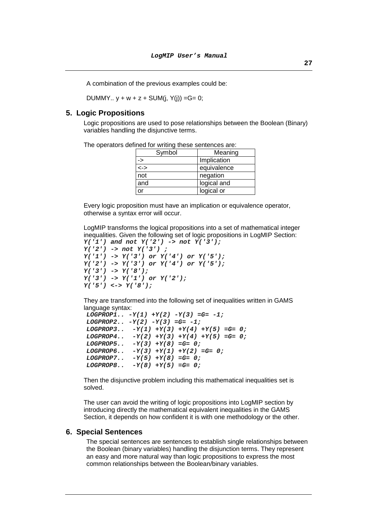A combination of the previous examples could be:

DUMMY..  $y + w + z + SUM(i, Y(i)) = G = 0$ ;

# **5. Logic Propositions**

Logic propositions are used to pose relationships between the Boolean (Binary) variables handling the disjunctive terms.

| Symbol                        | Meaning     |
|-------------------------------|-------------|
| ->                            | Implication |
| $\left\langle -\right\rangle$ | equivalence |
| not                           | negation    |
| and                           | logical and |
|                               | logical or  |

The operators defined for writing these sentences are:

Every logic proposition must have an implication or equivalence operator, otherwise a syntax error will occur.

LogMIP transforms the logical propositions into a set of mathematical integer inequalities. Given the following set of logic propositions in LogMIP Section:  $Y('1')$  and not  $Y('2')$  -> not  $Y('3')$ ;

```
Y('2') -> not Y('3') ; 
Y('1') -> Y('3') or Y('4') or Y('5'); 
Y('2') -> Y('3') or Y('4') or Y('5'); 
Y('3') -> Y('8'); 
Y('3') \rightarrow Y('1') or Y('2');
Y('5') <-> Y('8');
```
They are transformed into the following set of inequalities written in GAMS language syntax:

```
LOGPROP1. . . .Y(1) +Y(2) -Y(3) = G = -1;LOGPROP2.. -Y(2) -Y(3) =G= -1; 
LOGPROP3.. -Y(1) +Y(3) +Y(4) +Y(5) =G= 0; 
LOGPROP4.. -Y(2) +Y(3) +Y(4) +Y(5) =G= 0; 
LOGPROP5.. -Y(3) +Y(8) =G= 0; 
LOGPROP6.. -Y(3) +Y(1) +Y(2) =G= 0; 
LOGPROP7.. -Y(5) +Y(8) =G= 0; 
LOGPROP8.. -Y(8) +Y(5) =G= 0;
```
Then the disjunctive problem including this mathematical inequalities set is solved.

The user can avoid the writing of logic propositions into LogMIP section by introducing directly the mathematical equivalent inequalities in the GAMS Section, it depends on how confident it is with one methodology or the other.

# **6. Special Sentences**

The special sentences are sentences to establish single relationships between the Boolean (binary variables) handling the disjunction terms. They represent an easy and more natural way than logic propositions to express the most common relationships between the Boolean/binary variables.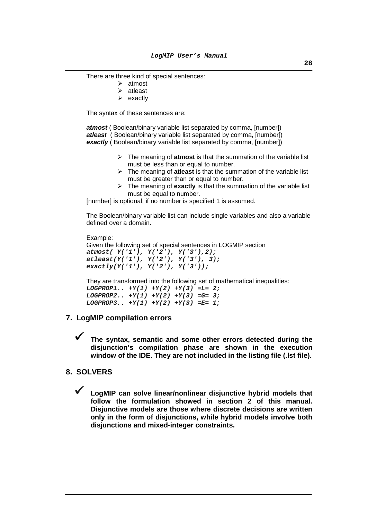There are three kind of special sentences:

- atmost
- $\triangleright$  atleast
- $\triangleright$  exactly

The syntax of these sentences are:

atmost (Boolean/binary variable list separated by comma, [number]) **atleast** ( Boolean/binary variable list separated by comma, [number]) **exactly** (Boolean/binary variable list separated by comma, [number])

- The meaning of **atmost** is that the summation of the variable list must be less than or equal to number.
- $\triangleright$  The meaning of **atleast** is that the summation of the variable list must be greater than or equal to number.
- The meaning of **exactly** is that the summation of the variable list must be equal to number.

[number] is optional, if no number is specified 1 is assumed.

The Boolean/binary variable list can include single variables and also a variable defined over a domain.

```
Example: 
Given the following set of special sentences in LOGMIP section 
atmost( Y('1'), Y('2'), Y('3'),2); 
atleast(Y('1'), Y('2'), Y('3'), 3); 
exactly(Y('1'), Y('2'), Y('3'));
```
They are transformed into the following set of mathematical inequalities: LOGPROP1..  $+Y(1) +Y(2) +Y(3) = L = 2;$ **LOGPROP2.. +Y(1) +Y(2) +Y(3) =G= 3; LOGPROP3.. +Y(1) +Y(2) +Y(3) =E= 1;** 

- **7. LogMIP compilation errors** 
	- $\checkmark$  **The syntax, semantic and some other errors detected during the disjunction's compilation phase are shown in the execution window of the IDE. They are not included in the listing file (.lst file).**

# **8. SOLVERS**

 $\checkmark$  **LogMIP can solve linear/nonlinear disjunctive hybrid models that follow the formulation showed in section 2 of this manual. Disjunctive models are those where discrete decisions are written only in the form of disjunctions, while hybrid models involve both disjunctions and mixed-integer constraints.**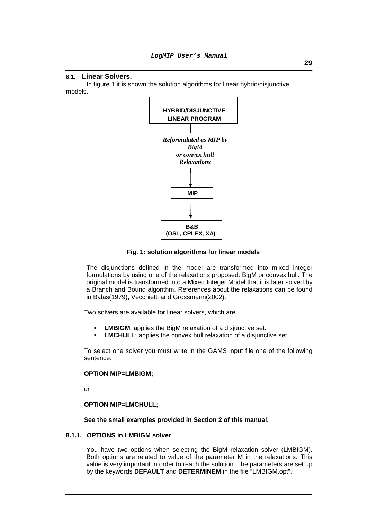#### **8.1. Linear Solvers.**

 In figure 1 it is shown the solution algorithms for linear hybrid/disjunctive models.



**Fig. 1: solution algorithms for linear models** 

The disjunctions defined in the model are transformed into mixed integer formulations by using one of the relaxations proposed: BigM or convex hull. The original model is transformed into a Mixed Integer Model that it is later solved by a Branch and Bound algorithm. References about the relaxations can be found in Balas(1979), Vecchietti and Grossmann(2002).

Two solvers are available for linear solvers, which are:

- **LMBIGM:** applies the BigM relaxation of a disjunctive set.
- **LMCHULL:** applies the convex hull relaxation of a disjunctive set.

To select one solver you must write in the GAMS input file one of the following sentence:

#### **OPTION MIP=LMBIGM;**

or

**OPTION MIP=LMCHULL;** 

#### **See the small examples provided in Section 2 of this manual.**

# **8.1.1. OPTIONS in LMBIGM solver**

You have two options when selecting the BigM relaxation solver (LMBIGM). Both options are related to value of the parameter M in the relaxations. This value is very important in order to reach the solution. The parameters are set up by the keywords **DEFAULT** and **DETERMINEM** in the file "LMBIGM.opt".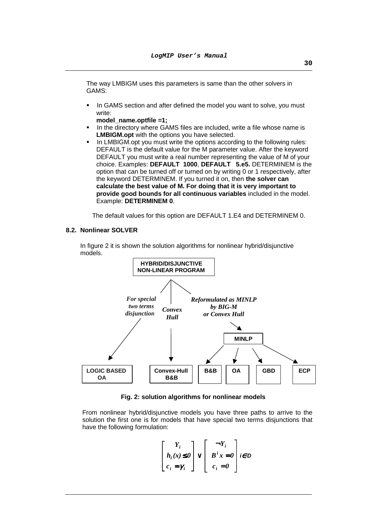The way LMBIGM uses this parameters is same than the other solvers in GAMS:

In GAMS section and after defined the model you want to solve, you must write:

**model\_name.optfile =1;** 

- In the directory where GAMS files are included, write a file whose name is **LMBIGM.opt** with the options you have selected.
- In LMBIGM.opt you must write the options according to the following rules: DEFAULT is the default value for the M parameter value. After the keyword DEFAULT you must write a real number representing the value of M of your choice. Examples: **DEFAULT 1000**, **DEFAULT 5.e5.** DETERMINEM is the option that can be turned off or turned on by writing 0 or 1 respectively, after the keyword DETERMINEM. If you turned it on, then **the solver can calculate the best value of M. For doing that it is very important to provide good bounds for all continuous variables** included in the model. Example: **DETERMINEM 0**.

The default values for this option are DEFAULT 1.E4 and DETERMINEM 0.

#### **8.2. Nonlinear SOLVER**

In figure 2 it is shown the solution algorithms for nonlinear hybrid/disjunctive models.



**Fig. 2: solution algorithms for nonlinear models** 

From nonlinear hybrid/disjunctive models you have three paths to arrive to the solution the first one is for models that have special two terms disjunctions that have the following formulation:

$$
\begin{bmatrix} Y_i \\ h_i(x) \leq 0 \\ c_i = \gamma_i \end{bmatrix} \vee \begin{bmatrix} \neg Y_i \\ B^i x = 0 \\ c_i = 0 \end{bmatrix} \text{ i} \in D
$$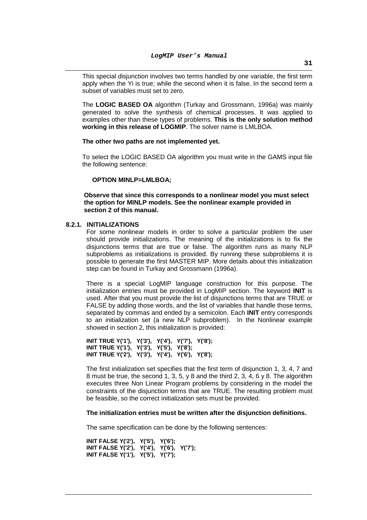This special disjunction involves two terms handled by one variable, the first term apply when the Yi is true; while the second when it is false. In the second term a subset of variables must set to zero.

The **LOGIC BASED OA** algorithm (Turkay and Grossmann, 1996a) was mainly generated to solve the synthesis of chemical processes. It was applied to examples other than these types of problems. **This is the only solution method working in this release of LOGMIP**. The solver name is LMLBOA.

## **The other two paths are not implemented yet.**

To select the LOGIC BASED OA algorithm you must write in the GAMS input file the following sentence:

#### **OPTION MINLP=LMLBOA;**

**Observe that since this corresponds to a nonlinear model you must select the option for MINLP models. See the nonlinear example provided in section 2 of this manual.** 

# **8.2.1. INITIALIZATIONS**

For some nonlinear models in order to solve a particular problem the user should provide initializations. The meaning of the initializations is to fix the disjunctions terms that are true or false. The algorithm runs as many NLP subproblems as initializations is provided. By running these subproblems it is possible to generate the first MASTER MIP. More details about this initialization step can be found in Turkay and Grossmann (1996a).

There is a special LogMIP language construction for this purpose. The initialization entries must be provided in LogMIP section. The keyword **INIT** is used. After that you must provide the list of disjunctions terms that are TRUE or FALSE by adding those words, and the list of variables that handle those terms, separated by commas and ended by a semicolon. Each **INIT** entry corresponds to an initialization set (a new NLP subproblem). In the Nonlinear example showed in section 2, this initialization is provided:

**INIT TRUE Y('1'), Y('3'), Y('4'), Y('7'), Y('8'); INIT TRUE Y('1'), Y('3'), Y('5'), Y('8'); INIT TRUE Y('2'), Y('3'), Y('4'), Y('6'), Y('8');** 

> The first initialization set specifies that the first term of disjunction 1, 3, 4, 7 and 8 must be true, the second 1, 3, 5, y 8 and the third 2, 3, 4, 6 y 8. The algorithm executes three Non Linear Program problems by considering in the model the constraints of the disjunction terms that are TRUE. The resulting problem must be feasible, so the correct initialization sets must be provided.

#### **The initialization entries must be written after the disjunction definitions.**

The same specification can be done by the following sentences:

**INIT FALSE Y('2'), Y('5'), Y('6'); INIT FALSE Y('2'), Y('4'), Y('6'), Y('7'); INIT FALSE Y('1'), Y('5'), Y('7');**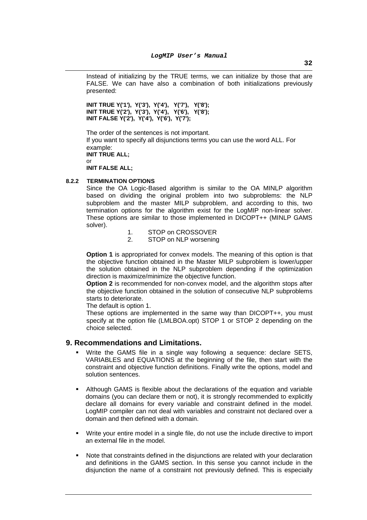Instead of initializing by the TRUE terms, we can initialize by those that are FALSE. We can have also a combination of both initializations previously presented:

**INIT TRUE Y('1'), Y('3'), Y('4'), Y('7'), Y('8'); INIT TRUE Y('2'), Y('3'), Y('4'), Y('6'), Y('8'); INIT FALSE Y('2'), Y('4'), Y('6'), Y('7');** 

The order of the sentences is not important. If you want to specify all disjunctions terms you can use the word ALL. For example: **INIT TRUE ALL;**  or **INIT FALSE ALL;** 

# **8.2.2 TERMINATION OPTIONS**

Since the OA Logic-Based algorithm is similar to the OA MINLP algorithm based on dividing the original problem into two subproblems: the NLP subproblem and the master MILP subproblem, and according to this, two termination options for the algorithm exist for the LogMIP non-linear solver. These options are similar to those implemented in DICOPT++ (MINLP GAMS solver).

- 1. STOP on CROSSOVER<br>2. STOP on NLP worsening
- STOP on NLP worsening

**Option 1** is appropriated for convex models. The meaning of this option is that the objective function obtained in the Master MILP subproblem is lower/upper the solution obtained in the NLP subproblem depending if the optimization direction is maximize/minimize the objective function.

**Option 2** is recommended for non-convex model, and the algorithm stops after the objective function obtained in the solution of consecutive NLP subproblems starts to deteriorate.

The default is option 1.

These options are implemented in the same way than DICOPT++, you must specify at the option file (LMLBOA.opt) STOP 1 or STOP 2 depending on the choice selected.

# **9. Recommendations and Limitations.**

- Write the GAMS file in a single way following a sequence: declare SETS, VARIABLES and EQUATIONS at the beginning of the file, then start with the constraint and objective function definitions. Finally write the options, model and solution sentences.
- Although GAMS is flexible about the declarations of the equation and variable domains (you can declare them or not), it is strongly recommended to explicitly declare all domains for every variable and constraint defined in the model. LogMIP compiler can not deal with variables and constraint not declared over a domain and then defined with a domain.
- Write your entire model in a single file, do not use the include directive to import an external file in the model.
- Note that constraints defined in the disjunctions are related with your declaration and definitions in the GAMS section. In this sense you cannot include in the disjunction the name of a constraint not previously defined. This is especially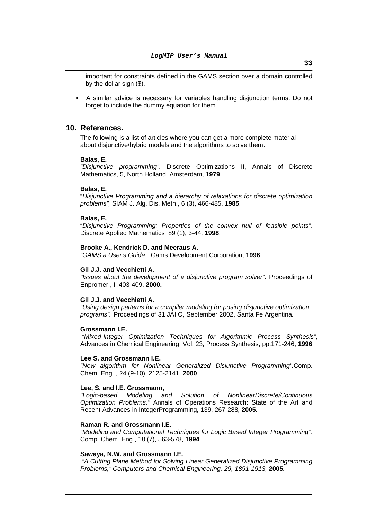important for constraints defined in the GAMS section over a domain controlled by the dollar sign (\$).

 A similar advice is necessary for variables handling disjunction terms. Do not forget to include the dummy equation for them.

# **10. References.**

The following is a list of articles where you can get a more complete material about disjunctive/hybrid models and the algorithms to solve them.

## **Balas, E.**

"Disjunctive programming". Discrete Optimizations II, Annals of Discrete Mathematics, 5, North Holland, Amsterdam, **1979**.

## **Balas, E.**

"Disjunctive Programming and a hierarchy of relaxations for discrete optimization problems", SIAM J. Alg. Dis. Meth., 6 (3), 466-485, **1985**.

#### **Balas, E.**

"Disjunctive Programming: Properties of the convex hull of feasible points", Discrete Applied Mathematics 89 (1), 3-44, **1998**.

#### **Brooke A., Kendrick D. and Meeraus A.**

"GAMS a User's Guide". Gams Development Corporation, **1996**.

## **Gil J.J. and Vecchietti A.**

"Issues about the development of a disjunctive program solver". Proceedings of Enpromer , I ,403-409, **2000.** 

#### **Gil J.J. and Vecchietti A.**

"Using design patterns for a compiler modeling for posing disjunctive optimization programs". Proceedings of 31 JAIIO, September 2002, Santa Fe Argentina.

#### **Grossmann I.E.**

"Mixed-Integer Optimization Techniques for Algorithmic Process Synthesis", Advances in Chemical Engineering, Vol. 23, Process Synthesis, pp.171-246, **1996**.

## **Lee S. and Grossmann I.E.**

"New algorithm for Nonlinear Generalized Disjunctive Programming".Comp. Chem. Eng. , 24 (9-10), 2125-2141, **2000**.

## **Lee, S. and I.E. Grossmann,**

"Logic-based Modeling and Solution of NonlinearDiscrete/Continuous Optimization Problems," Annals of Operations Research: State of the Art and Recent Advances in IntegerProgramming, 139, 267-288, **2005**.

## **Raman R. and Grossmann I.E.**

"Modeling and Computational Techniques for Logic Based Integer Programming". Comp. Chem. Eng., 18 (7), 563-578, **1994**.

#### **Sawaya, N.W. and Grossmann I.E.**

"A Cutting Plane Method for Solving Linear Generalized Disjunctive Programming Problems," Computers and Chemical Engineering, 29, 1891-1913, **2005**.